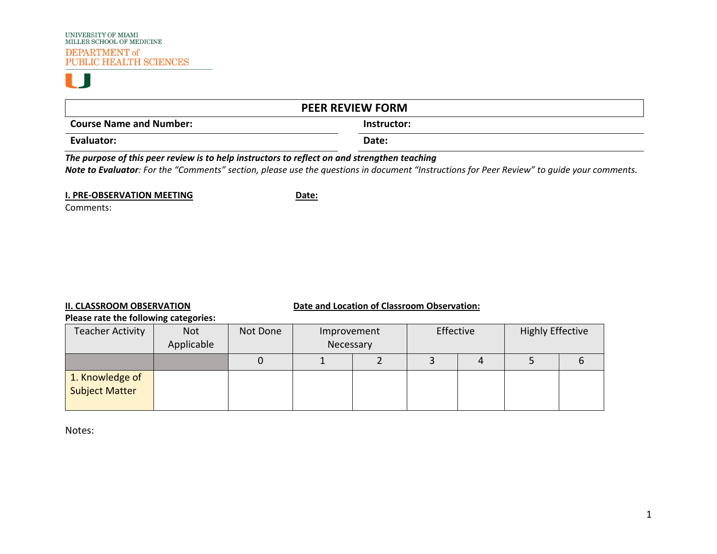# H. J

| <b>PEER REVIEW FORM</b>                                                                      |             |  |  |  |  |  |  |
|----------------------------------------------------------------------------------------------|-------------|--|--|--|--|--|--|
| <b>Course Name and Number:</b>                                                               | Instructor: |  |  |  |  |  |  |
| Evaluator:                                                                                   | Date:       |  |  |  |  |  |  |
| The purpose of this peer review is to help instructors to reflect on and strengthen teaching |             |  |  |  |  |  |  |

*Note to Evaluator: For the "Comments" section, please use the questions in document "Instructions for Peer Review" to guide your comments.*

**I. PRE-OBSERVATION MEETING DATE:** 

Comments:

# **II. CLASSROOM OBSERVATION Date and Location of Classroom Observation:**

#### **Please rate the following categories:**

| <b>Teacher Activity</b>                  | <b>Not</b><br>Applicable | Not Done | Improvement<br>Necessary |  | Effective |  | <b>Highly Effective</b> |  |
|------------------------------------------|--------------------------|----------|--------------------------|--|-----------|--|-------------------------|--|
|                                          |                          |          |                          |  |           |  |                         |  |
| 1. Knowledge of<br><b>Subject Matter</b> |                          |          |                          |  |           |  |                         |  |

Notes: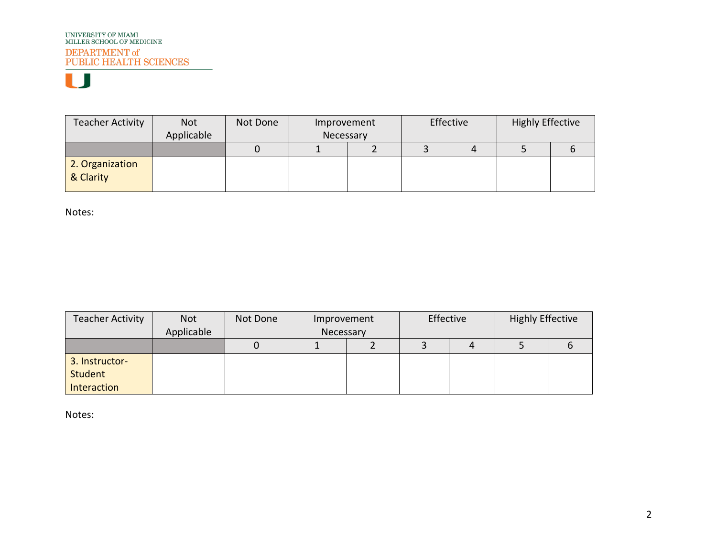| <b>Teacher Activity</b>      | <b>Not</b><br>Applicable | Not Done | Improvement<br>Necessary |  | Effective |  | <b>Highly Effective</b> |  |
|------------------------------|--------------------------|----------|--------------------------|--|-----------|--|-------------------------|--|
|                              |                          |          |                          |  |           |  |                         |  |
| 2. Organization<br>& Clarity |                          |          |                          |  |           |  |                         |  |

Notes:

| <b>Teacher Activity</b> | Not        | Not Done | Improvement |  | Effective |  | <b>Highly Effective</b> |  |
|-------------------------|------------|----------|-------------|--|-----------|--|-------------------------|--|
|                         | Applicable |          | Necessary   |  |           |  |                         |  |
|                         |            |          |             |  |           |  |                         |  |
| 3. Instructor-          |            |          |             |  |           |  |                         |  |
| Student                 |            |          |             |  |           |  |                         |  |
| Interaction             |            |          |             |  |           |  |                         |  |

Notes: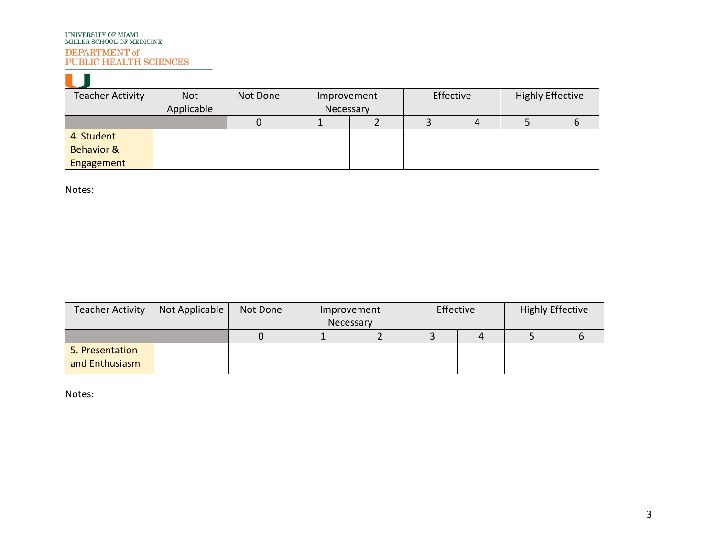# UNIVERSITY OF MIAMI<br>MILLER SCHOOL OF MEDICINE DEPARTMENT of PUBLIC HEALTH SCIENCES

| Teacher Activity      | <b>Not</b> | Not Done | Improvement | Effective |   | <b>Highly Effective</b> |  |
|-----------------------|------------|----------|-------------|-----------|---|-------------------------|--|
|                       | Applicable |          | Necessary   |           |   |                         |  |
|                       |            |          |             |           | 4 |                         |  |
| 4. Student            |            |          |             |           |   |                         |  |
| <b>Behavior &amp;</b> |            |          |             |           |   |                         |  |
| Engagement            |            |          |             |           |   |                         |  |

Notes:

| <b>Teacher Activity</b>           | Not Applicable | Not Done | Improvement |  | Effective |  | <b>Highly Effective</b> |  |
|-----------------------------------|----------------|----------|-------------|--|-----------|--|-------------------------|--|
|                                   |                |          | Necessary   |  |           |  |                         |  |
|                                   |                |          |             |  |           |  |                         |  |
| 5. Presentation<br>and Enthusiasm |                |          |             |  |           |  |                         |  |

Notes: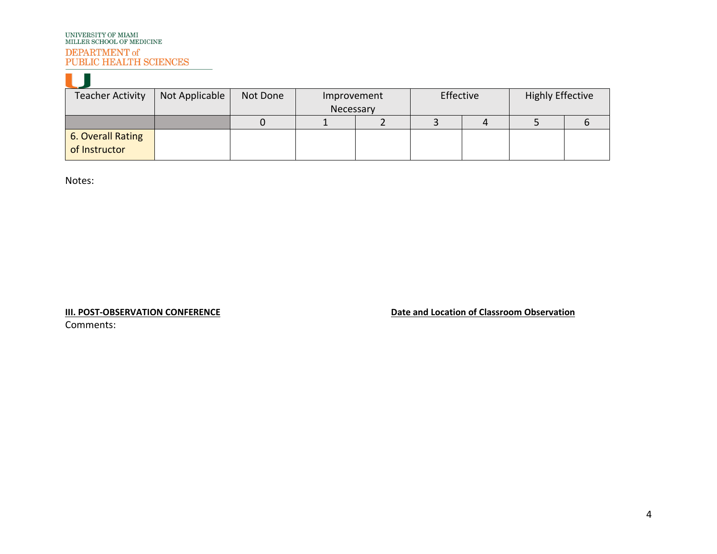| <b>Teacher Activity</b> | Not Applicable | Not Done | Improvement | Effective | <b>Highly Effective</b> |  |
|-------------------------|----------------|----------|-------------|-----------|-------------------------|--|
|                         |                |          | Necessary   |           |                         |  |
|                         |                |          |             |           |                         |  |
| 6. Overall Rating       |                |          |             |           |                         |  |
| of Instructor           |                |          |             |           |                         |  |

Notes:

 $\mathbf{r}$  and  $\mathbf{r}$ 

**III. POST-OBSERVATION CONFERENCE Date and Location of Classroom Observation** 

Comments: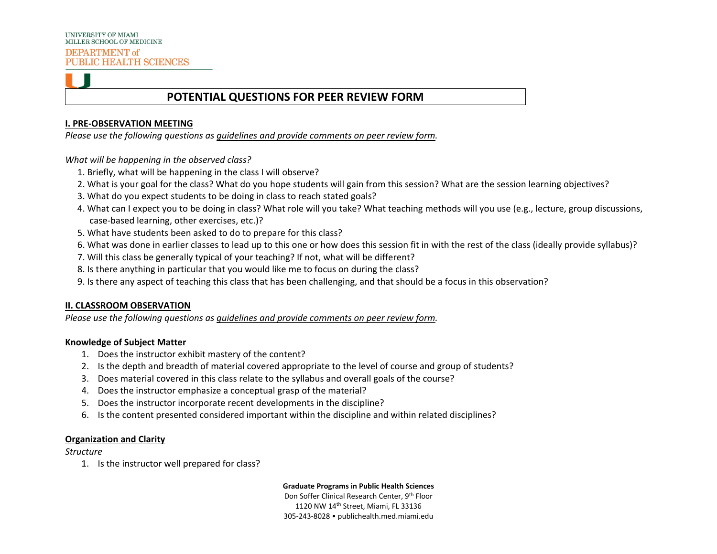# **POTENTIAL QUESTIONS FOR PEER REVIEW FORM**

#### **I. PRE-OBSERVATION MEETING**

*Please use the following questions as guidelines and provide comments on peer review form.*

*What will be happening in the observed class?* 

- 1. Briefly, what will be happening in the class I will observe?
- 2. What is your goal for the class? What do you hope students will gain from this session? What are the session learning objectives?
- 3. What do you expect students to be doing in class to reach stated goals?
- 4. What can I expect you to be doing in class? What role will you take? What teaching methods will you use (e.g., lecture, group discussions, case-based learning, other exercises, etc.)?
- 5. What have students been asked to do to prepare for this class?
- 6. What was done in earlier classes to lead up to this one or how does this session fit in with the rest of the class (ideally provide syllabus)?
- 7. Will this class be generally typical of your teaching? If not, what will be different?
- 8. Is there anything in particular that you would like me to focus on during the class?
- 9. Is there any aspect of teaching this class that has been challenging, and that should be a focus in this observation?

### **II. CLASSROOM OBSERVATION**

*Please use the following questions as guidelines and provide comments on peer review form.* 

### **Knowledge of Subject Matter**

- 1. Does the instructor exhibit mastery of the content?
- 2. Is the depth and breadth of material covered appropriate to the level of course and group of students?
- 3. Does material covered in this class relate to the syllabus and overall goals of the course?
- 4. Does the instructor emphasize a conceptual grasp of the material?
- 5. Does the instructor incorporate recent developments in the discipline?
- 6. Is the content presented considered important within the discipline and within related disciplines?

### **Organization and Clarity**

#### *Structure*

1. Is the instructor well prepared for class?

**Graduate Programs in Public Health Sciences**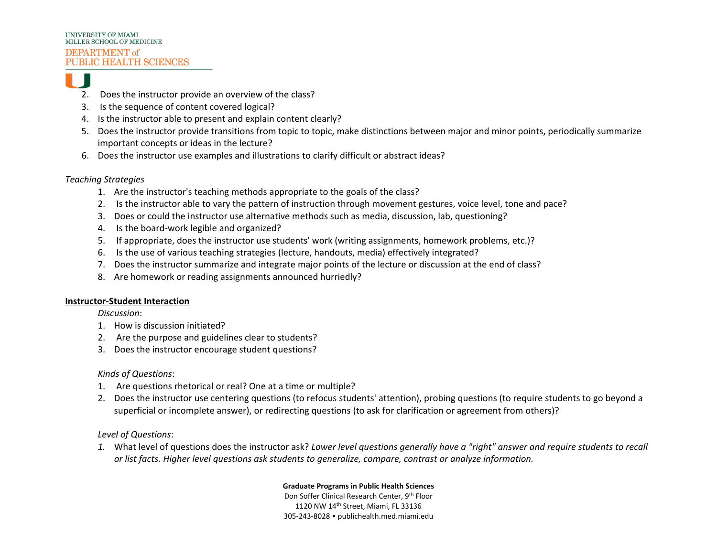

- 2. Does the instructor provide an overview of the class?
- 3. Is the sequence of content covered logical?
- 4. Is the instructor able to present and explain content clearly?
- 5. Does the instructor provide transitions from topic to topic, make distinctions between major and minor points, periodically summarize important concepts or ideas in the lecture?
- 6. Does the instructor use examples and illustrations to clarify difficult or abstract ideas?

# *Teaching Strategies*

- 1. Are the instructor's teaching methods appropriate to the goals of the class?
- 2. Is the instructor able to vary the pattern of instruction through movement gestures, voice level, tone and pace?
- 3. Does or could the instructor use alternative methods such as media, discussion, lab, questioning?
- 4. Is the board-work legible and organized?
- 5. If appropriate, does the instructor use students' work (writing assignments, homework problems, etc.)?
- 6. Is the use of various teaching strategies (lecture, handouts, media) effectively integrated?
- 7. Does the instructor summarize and integrate major points of the lecture or discussion at the end of class?
- 8. Are homework or reading assignments announced hurriedly?

# **Instructor-Student Interaction**

*Discussion*:

- 1. How is discussion initiated?
- 2. Are the purpose and guidelines clear to students?
- 3. Does the instructor encourage student questions?

# *Kinds of Questions*:

- 1. Are questions rhetorical or real? One at a time or multiple?
- 2. Does the instructor use centering questions (to refocus students' attention), probing questions (to require students to go beyond a superficial or incomplete answer), or redirecting questions (to ask for clarification or agreement from others)?

*Level of Questions*:

*1.* What level of questions does the instructor ask? *Lower level questions generally have a "right" answer and require students to recall or list facts. Higher level questions ask students to generalize, compare, contrast or analyze information.*

# **Graduate Programs in Public Health Sciences**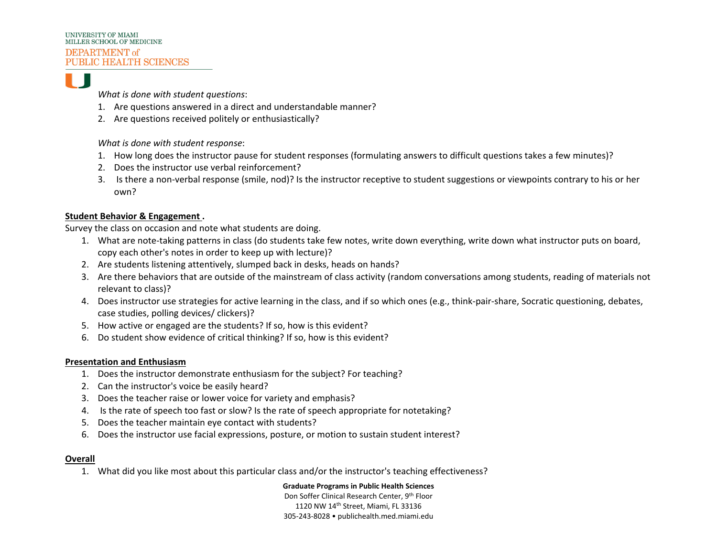

*What is done with student questions*:

- 1. Are questions answered in a direct and understandable manner?
- 2. Are questions received politely or enthusiastically?

*What is done with student response*:

- 1. How long does the instructor pause for student responses (formulating answers to difficult questions takes a few minutes)?
- 2. Does the instructor use verbal reinforcement?
- 3. Is there a non-verbal response (smile, nod)? Is the instructor receptive to student suggestions or viewpoints contrary to his or her own?

# **Student Behavior & Engagement .**

Survey the class on occasion and note what students are doing.

- 1. What are note-taking patterns in class (do students take few notes, write down everything, write down what instructor puts on board, copy each other's notes in order to keep up with lecture)?
- 2. Are students listening attentively, slumped back in desks, heads on hands?
- 3. Are there behaviors that are outside of the mainstream of class activity (random conversations among students, reading of materials not relevant to class)?
- 4. Does instructor use strategies for active learning in the class, and if so which ones (e.g., think-pair-share, Socratic questioning, debates, case studies, polling devices/ clickers)?
- 5. How active or engaged are the students? If so, how is this evident?
- 6. Do student show evidence of critical thinking? If so, how is this evident?

# **Presentation and Enthusiasm**

- 1. Does the instructor demonstrate enthusiasm for the subject? For teaching?
- 2. Can the instructor's voice be easily heard?
- 3. Does the teacher raise or lower voice for variety and emphasis?
- 4. Is the rate of speech too fast or slow? Is the rate of speech appropriate for notetaking?
- 5. Does the teacher maintain eye contact with students?
- 6. Does the instructor use facial expressions, posture, or motion to sustain student interest?

# **Overall**

1. What did you like most about this particular class and/or the instructor's teaching effectiveness?

**Graduate Programs in Public Health Sciences**